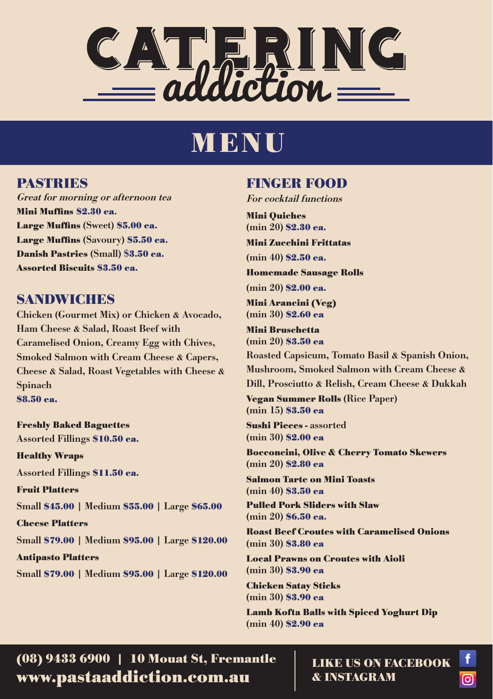

# MENU

#### PASTRIES

Great for morning or afternoon tea Mini Muffins \$2.30 ea. Large Muffins (Sweet) \$5.00 ea. Large Muffins (Savoury) \$5.50 ea. Danish Pastries (Small) \$3.50 ea. Assorted Biscuits \$3.50 ea.

#### SANDWICHES

Chicken (Gourmet Mix) or Chicken & Avocado, Ham Cheese & Salad, Roast Beef with Caramelised Onion, Creamy Egg with Chives, Smoked Salmon with Cream Cheese & Capers, Cheese & Salad, Roast Vegetables with Cheese & Spinach \$8.50 ea.

Freshly Baked Baguettes Assorted Fillings \$10.50 ea. Healthy Wraps Assorted Fillings \$11.50 ea. Fruit Platters Small \$45.00 | Medium \$55.00 | Large \$65.00 Cheese Platters Small \$79.00 | Medium \$95.00 | Large \$120.00 Antipasto Platters Small \$79.00 | Medium \$95.00 | Large \$120.00

### FINGER FOOD

For cocktail functions

Mini Quiches (min 20) \$2.30 ea.

Mini Zucchini Frittatas

(min 40) \$2.50 ea.

Homemade Sausage Rolls

(min 20) \$2.00 ea.

Mini Arancini (Veg) (min 30) \$2.60 ea

Mini Bruschetta (min 20) \$3.50 ea

Roasted Capsicum, Tomato Basil & Spanish Onion, Mushroom, Smoked Salmon with Cream Cheese & Dill, Prosciutto & Relish, Cream Cheese & Dukkah

Vegan Summer Rolls (Rice Paper) (min 15) \$3.50 ea

Sushi Pieces - assorted (min 30) \$2.00 ea

Bocconcini, Olive & Cherry Tomato Skewers (min 20) \$2.80 ea

Salmon Tarte on Mini Toasts (min 40) \$3.50 ea

Pulled Pork Sliders with Slaw (min 20) \$6.50 ea.

Roast Beef Croutes with Caramelised Onions (min 30) \$3.80 ea

Local Prawns on Croutes with Aioli (min 30) \$3.90 ea

Chicken Satay Sticks (min 30) \$3.90 ea

Lamb Kofta Balls with Spiced Yoghurt Dip (min 40) \$2.90 ea

www.pastaaddiction.com.au (08) 9433 6900 | 10 Mouat St, Fremantle  $\parallel$  LIKE US ON FACEBOOK

& INSTAGRAM

രി